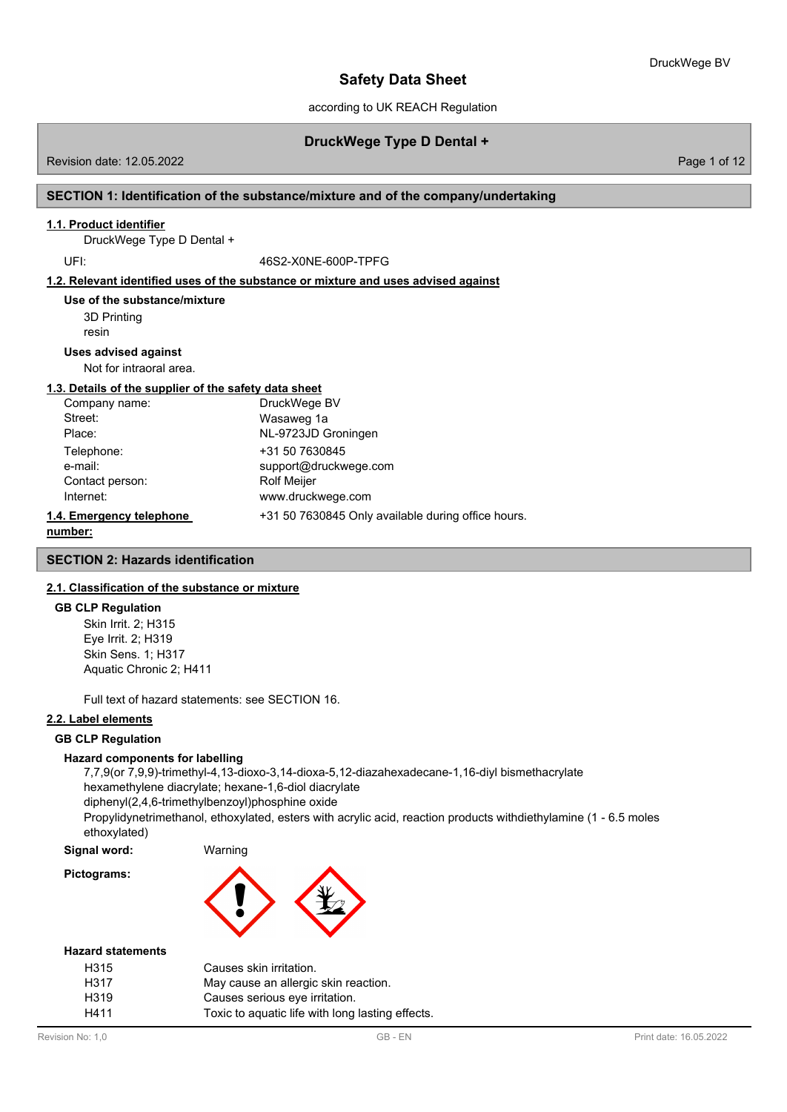according to UK REACH Regulation

## **DruckWege Type D Dental +**

Revision date: 12.05.2022 Page 1 of 12

#### **SECTION 1: Identification of the substance/mixture and of the company/undertaking**

#### **1.1. Product identifier**

DruckWege Type D Dental +

UFI: 46S2-X0NE-600P-TPFG

#### **1.2. Relevant identified uses of the substance or mixture and uses advised against**

3D Printing resin **Use of the substance/mixture**

#### **Uses advised against**

Not for intraoral area.

## **1.3. Details of the supplier of the safety data sheet**

| Company name:            | DruckWege BV                                       |
|--------------------------|----------------------------------------------------|
| Street:                  | Wasaweg 1a                                         |
| Place:                   | NL-9723JD Groningen                                |
| Telephone:               | +31 50 7630845                                     |
| e-mail:                  | support@druckwege.com                              |
| Contact person:          | <b>Rolf Meijer</b>                                 |
| Internet:                | www.druckwege.com                                  |
| 1.4. Emergency telephone | +31 50 7630845 Only available during office hours. |
|                          |                                                    |

```
number:
```
#### **SECTION 2: Hazards identification**

### **2.1. Classification of the substance or mixture**

#### **GB CLP Regulation**

Skin Irrit. 2; H315 Eye Irrit. 2; H319 Skin Sens. 1; H317 Aquatic Chronic 2; H411

Full text of hazard statements: see SECTION 16.

## **2.2. Label elements**

#### **GB CLP Regulation**

#### **Hazard components for labelling**

7,7,9(or 7,9,9)-trimethyl-4,13-dioxo-3,14-dioxa-5,12-diazahexadecane-1,16-diyl bismethacrylate hexamethylene diacrylate; hexane-1,6-diol diacrylate diphenyl(2,4,6-trimethylbenzoyl)phosphine oxide Propylidynetrimethanol, ethoxylated, esters with acrylic acid, reaction products withdiethylamine (1 - 6.5 moles ethoxylated)

**Signal word:** Warning **Pictograms:**



#### **Hazard statements**

| H315 | Causes skin irritation.                          |
|------|--------------------------------------------------|
| H317 | May cause an allergic skin reaction.             |
| H319 | Causes serious eye irritation.                   |
| H411 | Toxic to aguatic life with long lasting effects. |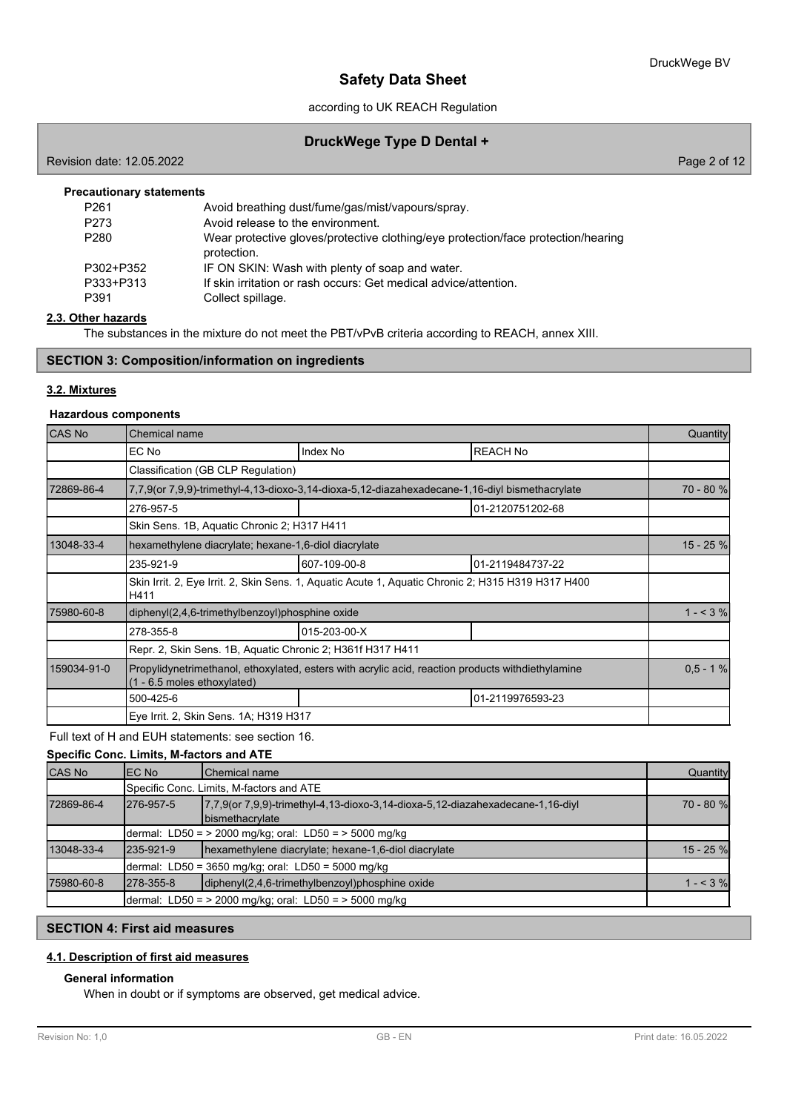according to UK REACH Regulation

## **DruckWege Type D Dental +**

Revision date: 12.05.2022 Page 2 of 12

| <b>Precautionary statements</b> |  |
|---------------------------------|--|
|---------------------------------|--|

| Avoid breathing dust/fume/gas/mist/vapours/spray.                                 |
|-----------------------------------------------------------------------------------|
| Avoid release to the environment.                                                 |
| Wear protective gloves/protective clothing/eye protection/face protection/hearing |
| protection.                                                                       |
| IF ON SKIN: Wash with plenty of soap and water.                                   |
| If skin irritation or rash occurs: Get medical advice/attention.                  |
| Collect spillage.                                                                 |
|                                                                                   |

#### **2.3. Other hazards**

The substances in the mixture do not meet the PBT/vPvB criteria according to REACH, annex XIII.

### **SECTION 3: Composition/information on ingredients**

#### **3.2. Mixtures**

#### **Hazardous components**

| <b>CAS No</b> | Chemical name                                                                                                                    |                                                                                                    |                  |           |  |  |
|---------------|----------------------------------------------------------------------------------------------------------------------------------|----------------------------------------------------------------------------------------------------|------------------|-----------|--|--|
|               | EC No                                                                                                                            | Index No                                                                                           | <b>REACH No</b>  |           |  |  |
|               | Classification (GB CLP Regulation)                                                                                               |                                                                                                    |                  |           |  |  |
| 72869-86-4    |                                                                                                                                  | 7,7,9(or 7,9,9)-trimethyl-4,13-dioxo-3,14-dioxa-5,12-diazahexadecane-1,16-diyl bismethacrylate     |                  | 70 - 80 % |  |  |
|               | 276-957-5                                                                                                                        |                                                                                                    | 01-2120751202-68 |           |  |  |
|               | Skin Sens. 1B, Aquatic Chronic 2; H317 H411                                                                                      |                                                                                                    |                  |           |  |  |
| 13048-33-4    | hexamethylene diacrylate; hexane-1,6-diol diacrylate                                                                             |                                                                                                    |                  | 15 - 25 % |  |  |
|               | 235-921-9                                                                                                                        | 607-109-00-8                                                                                       | 01-2119484737-22 |           |  |  |
|               | H411                                                                                                                             | Skin Irrit. 2, Eye Irrit. 2, Skin Sens. 1, Aquatic Acute 1, Aquatic Chronic 2; H315 H319 H317 H400 |                  |           |  |  |
| 75980-60-8    | diphenyl(2,4,6-trimethylbenzoyl)phosphine oxide                                                                                  | $1 - 3\%$                                                                                          |                  |           |  |  |
|               | 278-355-8                                                                                                                        | 015-203-00-X                                                                                       |                  |           |  |  |
|               | Repr. 2, Skin Sens. 1B, Aquatic Chronic 2; H361f H317 H411                                                                       |                                                                                                    |                  |           |  |  |
| 159034-91-0   | Propylidynetrimethanol, ethoxylated, esters with acrylic acid, reaction products withdiethylamine<br>(1 - 6.5 moles ethoxylated) |                                                                                                    |                  |           |  |  |
|               | 500-425-6                                                                                                                        |                                                                                                    | 01-2119976593-23 |           |  |  |
|               | Eye Irrit. 2, Skin Sens. 1A; H319 H317                                                                                           |                                                                                                    |                  |           |  |  |

Full text of H and EUH statements: see section 16.

#### **Specific Conc. Limits, M-factors and ATE**

| <b>CAS No</b> | IEC No                                                 | <b>I</b> Chemical name                                                                                          | Quantity    |  |
|---------------|--------------------------------------------------------|-----------------------------------------------------------------------------------------------------------------|-------------|--|
|               |                                                        | Specific Conc. Limits, M-factors and ATE                                                                        |             |  |
| 72869-86-4    | 1276-957-5                                             | $[7,7,9$ (or $7,9,9$ )-trimethyl-4,13-dioxo-3,14-dioxa-5,12-diazahexadecane-1,16-diyl<br><b>bismethacrylate</b> |             |  |
|               | dermal: LD50 = > 2000 mg/kg; oral: LD50 = > 5000 mg/kg |                                                                                                                 |             |  |
| 13048-33-4    | 1235-921-9                                             | hexamethylene diacrylate; hexane-1,6-diol diacrylate                                                            | $15 - 25$ % |  |
|               | dermal: LD50 = 3650 mg/kg; oral: LD50 = 5000 mg/kg     |                                                                                                                 |             |  |
| 75980-60-8    | 1278-355-8                                             | diphenyl(2,4,6-trimethylbenzoyl)phosphine oxide                                                                 | $1 - 3%$    |  |
|               |                                                        | dermal: LD50 = > 2000 mg/kg; oral: LD50 = > 5000 mg/kg                                                          |             |  |

## **SECTION 4: First aid measures**

## **4.1. Description of first aid measures**

### **General information**

When in doubt or if symptoms are observed, get medical advice.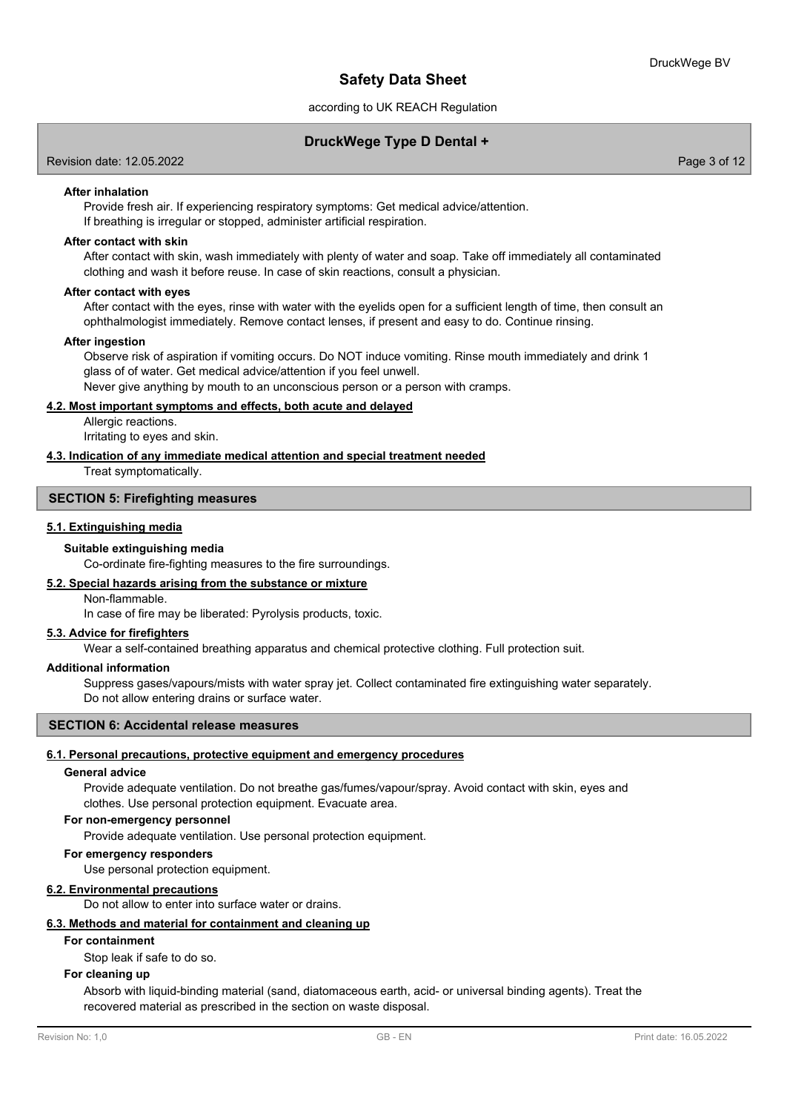### according to UK REACH Regulation

## **DruckWege Type D Dental +**

Revision date: 12.05.2022 Page 3 of 12

#### **After inhalation**

Provide fresh air. If experiencing respiratory symptoms: Get medical advice/attention. If breathing is irregular or stopped, administer artificial respiration.

#### **After contact with skin**

After contact with skin, wash immediately with plenty of water and soap. Take off immediately all contaminated clothing and wash it before reuse. In case of skin reactions, consult a physician.

#### **After contact with eyes**

After contact with the eyes, rinse with water with the eyelids open for a sufficient length of time, then consult an ophthalmologist immediately. Remove contact lenses, if present and easy to do. Continue rinsing.

#### **After ingestion**

Observe risk of aspiration if vomiting occurs. Do NOT induce vomiting. Rinse mouth immediately and drink 1 glass of of water. Get medical advice/attention if you feel unwell. Never give anything by mouth to an unconscious person or a person with cramps.

# **4.2. Most important symptoms and effects, both acute and delayed**

Allergic reactions. Irritating to eyes and skin.

#### **4.3. Indication of any immediate medical attention and special treatment needed**

Treat symptomatically.

#### **SECTION 5: Firefighting measures**

#### **5.1. Extinguishing media**

#### **Suitable extinguishing media**

Co-ordinate fire-fighting measures to the fire surroundings.

## **5.2. Special hazards arising from the substance or mixture**

Non-flammable.

In case of fire may be liberated: Pyrolysis products, toxic.

### **5.3. Advice for firefighters**

Wear a self-contained breathing apparatus and chemical protective clothing. Full protection suit.

#### **Additional information**

Suppress gases/vapours/mists with water spray jet. Collect contaminated fire extinguishing water separately. Do not allow entering drains or surface water.

### **SECTION 6: Accidental release measures**

#### **6.1. Personal precautions, protective equipment and emergency procedures**

#### **General advice**

Provide adequate ventilation. Do not breathe gas/fumes/vapour/spray. Avoid contact with skin, eyes and clothes. Use personal protection equipment. Evacuate area.

#### **For non-emergency personnel**

Provide adequate ventilation. Use personal protection equipment.

#### **For emergency responders**

Use personal protection equipment.

#### **6.2. Environmental precautions**

Do not allow to enter into surface water or drains.

#### **6.3. Methods and material for containment and cleaning up**

#### **For containment**

Stop leak if safe to do so.

#### **For cleaning up**

Absorb with liquid-binding material (sand, diatomaceous earth, acid- or universal binding agents). Treat the recovered material as prescribed in the section on waste disposal.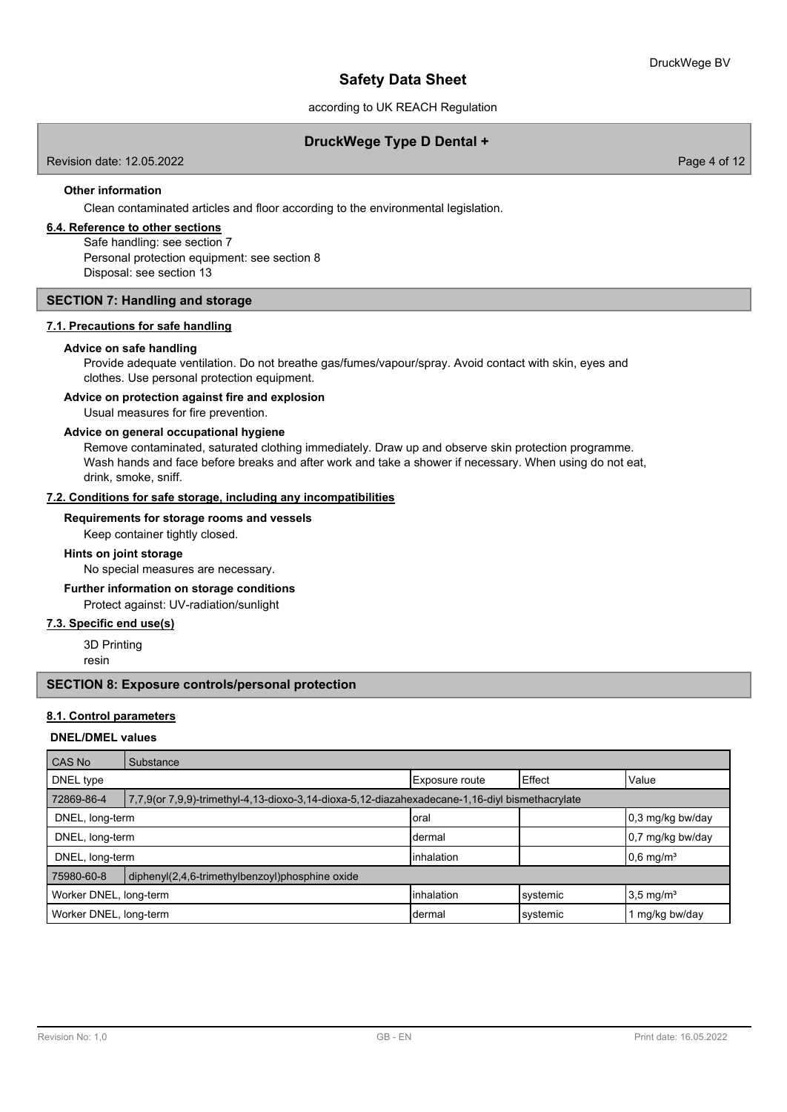according to UK REACH Regulation

## **DruckWege Type D Dental +**

Revision date: 12.05.2022 Page 4 of 12

#### **Other information**

Clean contaminated articles and floor according to the environmental legislation.

## **6.4. Reference to other sections**

Safe handling: see section 7 Personal protection equipment: see section 8 Disposal: see section 13

### **SECTION 7: Handling and storage**

#### **7.1. Precautions for safe handling**

#### **Advice on safe handling**

Provide adequate ventilation. Do not breathe gas/fumes/vapour/spray. Avoid contact with skin, eyes and clothes. Use personal protection equipment.

### **Advice on protection against fire and explosion**

Usual measures for fire prevention.

#### **Advice on general occupational hygiene**

Remove contaminated, saturated clothing immediately. Draw up and observe skin protection programme. Wash hands and face before breaks and after work and take a shower if necessary. When using do not eat, drink, smoke, sniff.

#### **7.2. Conditions for safe storage, including any incompatibilities**

#### **Requirements for storage rooms and vessels**

Keep container tightly closed.

### **Hints on joint storage**

No special measures are necessary.

#### **Further information on storage conditions**

Protect against: UV-radiation/sunlight

#### **7.3. Specific end use(s)**

3D Printing

resin

#### **SECTION 8: Exposure controls/personal protection**

### **8.1. Control parameters**

#### **DNEL/DMEL values**

| <b>CAS No</b>                                                 | Substance                                                                                      |                    |          |                         |  |  |
|---------------------------------------------------------------|------------------------------------------------------------------------------------------------|--------------------|----------|-------------------------|--|--|
| DNEL type                                                     |                                                                                                | Exposure route     | l Effect | Value                   |  |  |
| 72869-86-4                                                    | 7,7,9(or 7,9,9)-trimethyl-4,13-dioxo-3,14-dioxa-5,12-diazahexadecane-1,16-diyl bismethacrylate |                    |          |                         |  |  |
| DNEL, long-term<br>0,3 mg/kg bw/day<br>Ioral                  |                                                                                                |                    |          |                         |  |  |
| DNEL, long-term                                               |                                                                                                | Idermal            |          | 0,7 mg/kg bw/day        |  |  |
| DNEL, long-term                                               |                                                                                                | <b>linhalation</b> |          | $0.6$ mg/m <sup>3</sup> |  |  |
| 75980-60-8<br>diphenyl(2,4,6-trimethylbenzoyl)phosphine oxide |                                                                                                |                    |          |                         |  |  |
| Worker DNEL, long-term                                        |                                                                                                | <b>linhalation</b> | systemic | $3.5 \text{ mg/m}^3$    |  |  |
| Worker DNEL, long-term                                        |                                                                                                | Idermal            | systemic | 1 mg/kg bw/day          |  |  |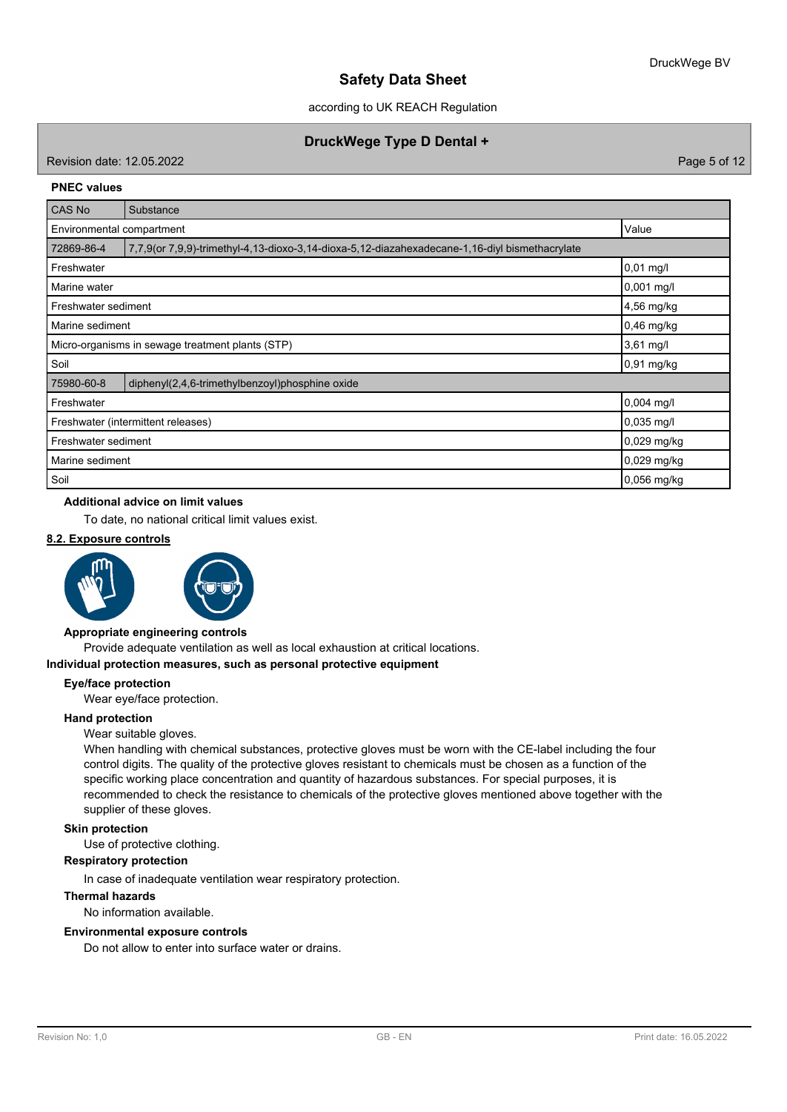according to UK REACH Regulation

## **DruckWege Type D Dental +**

Revision date: 12.05.2022 Page 5 of 12

#### **PNEC values**

| <b>CAS No</b>                   | Substance                                                                                      |               |  |  |  |
|---------------------------------|------------------------------------------------------------------------------------------------|---------------|--|--|--|
|                                 | Value<br>Environmental compartment                                                             |               |  |  |  |
| 72869-86-4                      | 7,7,9(or 7,9,9)-trimethyl-4,13-dioxo-3,14-dioxa-5,12-diazahexadecane-1,16-diyl bismethacrylate |               |  |  |  |
| Freshwater                      |                                                                                                | $0,01$ mg/l   |  |  |  |
| Marine water                    |                                                                                                | 0,001 mg/l    |  |  |  |
| Freshwater sediment             |                                                                                                | 4,56 mg/kg    |  |  |  |
| $0,46$ mg/kg<br>Marine sediment |                                                                                                |               |  |  |  |
|                                 | 3,61 mg/l<br>Micro-organisms in sewage treatment plants (STP)                                  |               |  |  |  |
| Soil                            |                                                                                                | 0,91 mg/kg    |  |  |  |
| 75980-60-8                      | diphenyl(2,4,6-trimethylbenzoyl)phosphine oxide                                                |               |  |  |  |
| Freshwater                      |                                                                                                | $0,004$ mg/l  |  |  |  |
|                                 | 0,035 mg/l<br>Freshwater (intermittent releases)                                               |               |  |  |  |
| Freshwater sediment             |                                                                                                | 0,029 mg/kg   |  |  |  |
| Marine sediment                 | 0,029 mg/kg                                                                                    |               |  |  |  |
| Soil                            |                                                                                                | $0,056$ mg/kg |  |  |  |

## **Additional advice on limit values**

To date, no national critical limit values exist.

## **8.2. Exposure controls**





#### **Appropriate engineering controls**

Provide adequate ventilation as well as local exhaustion at critical locations.

## **Individual protection measures, such as personal protective equipment**

#### **Eye/face protection**

Wear eye/face protection.

#### **Hand protection**

#### Wear suitable gloves.

When handling with chemical substances, protective gloves must be worn with the CE-label including the four control digits. The quality of the protective gloves resistant to chemicals must be chosen as a function of the specific working place concentration and quantity of hazardous substances. For special purposes, it is recommended to check the resistance to chemicals of the protective gloves mentioned above together with the supplier of these gloves.

#### **Skin protection**

Use of protective clothing.

### **Respiratory protection**

In case of inadequate ventilation wear respiratory protection.

#### **Thermal hazards**

No information available.

### **Environmental exposure controls**

Do not allow to enter into surface water or drains.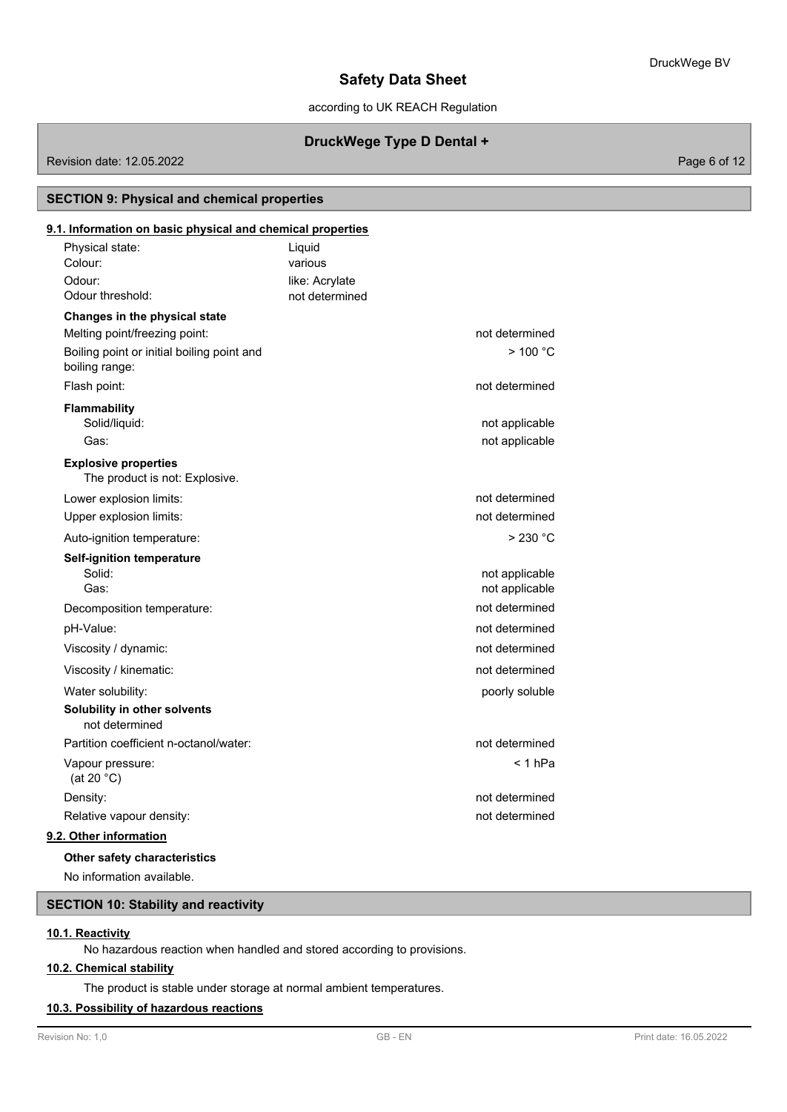according to UK REACH Regulation

## **DruckWege Type D Dental +**

Revision date: 12.05.2022 Page 6 of 12

## **SECTION 9: Physical and chemical properties**

## Physical state: Liquid **9.1. Information on basic physical and chemical properties** Colour: various Odour: like: Acrylate Odour threshold: example a mot determined **Changes in the physical state** Melting point/freezing point: not determined Boiling point or initial boiling point and  $\geq 100^{\circ}$ C boiling range: Flash point: not determined that the state of the state of the state of the state of the state of the state of the state of the state of the state of the state of the state of the state of the state of the state of the sta **Flammability** Solid/liquid: not applicable to the state of the state of the state of the state of the state of the state of the state of the state of the state of the state of the state of the state of the state of the state of the stat Gas: contract to the contract of the contract of the contract of the contract of the contract of the contract of the contract of the contract of the contract of the contract of the contract of the contract of the contract The product is not: Explosive. **Explosive properties** Lower explosion limits:  $\blacksquare$ Upper explosion limits:  $\blacksquare$ Auto-ignition temperature:  $\geq 230 \text{ °C}$ **Self-ignition temperature** Solid: example a structure of the structure of the structure of the structure of the structure of the structure of the structure of the structure of the structure of the structure of the structure of the structure of the s Gas: **not applicable** contains the contact of the contact of the contact of the contact of the contact of the contact of the contact of the contact of the contact of the contact of the contact of the contact of the contact Decomposition temperature: not determined pH-Value: not determined Viscosity / dynamic:  $\blacksquare$ Viscosity / kinematic:  $\blacksquare$ Water solubility: which is a poorly soluble poorly soluble **Solubility in other solvents** not determined Partition coefficient n-octanol/water: not determined Vapour pressure: < 1 hPa (at 20 °C) Density: **notified**  $\overline{a}$  and  $\overline{b}$  and  $\overline{b}$  and  $\overline{b}$  and  $\overline{b}$  and  $\overline{b}$  and  $\overline{b}$  and  $\overline{b}$  and  $\overline{b}$  and  $\overline{b}$  and  $\overline{b}$  and  $\overline{b}$  and  $\overline{b}$  and  $\overline{b}$  and  $\overline{b}$  and  $\overline{b}$ Relative vapour density: not determined **9.2. Other information**

#### **Other safety characteristics**

No information available.

#### **SECTION 10: Stability and reactivity**

### **10.1. Reactivity**

No hazardous reaction when handled and stored according to provisions.

### **10.2. Chemical stability**

The product is stable under storage at normal ambient temperatures.

## **10.3. Possibility of hazardous reactions**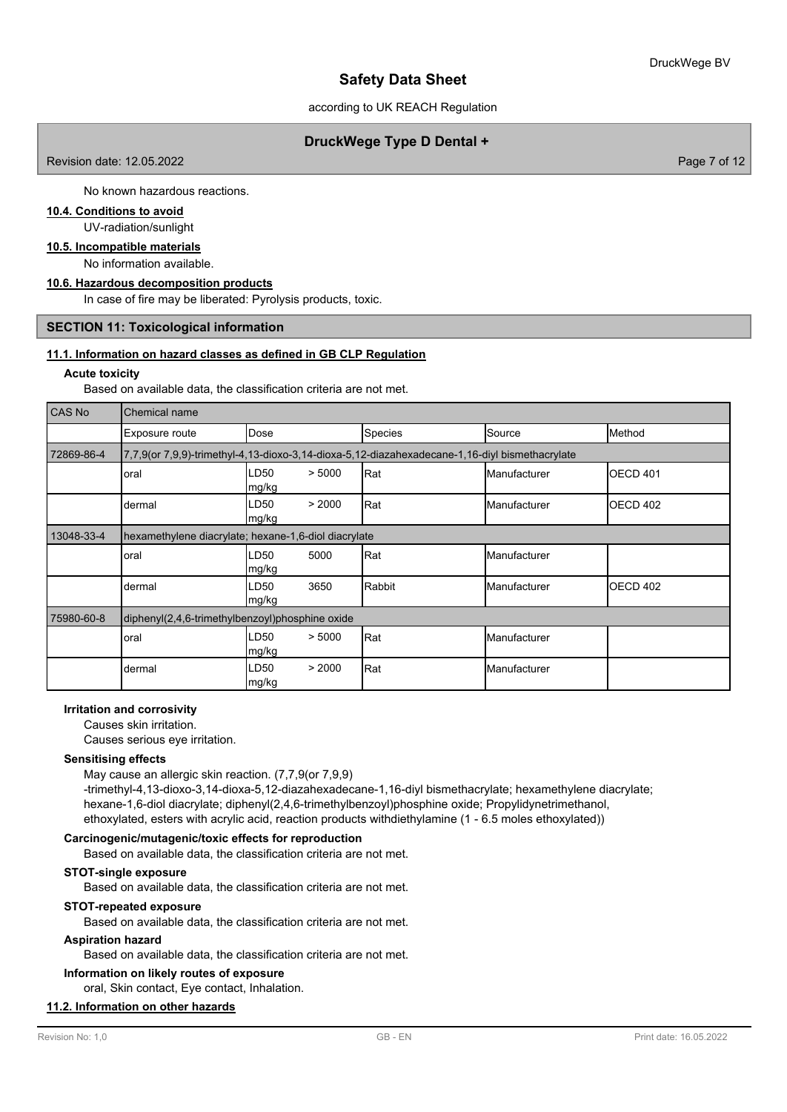according to UK REACH Regulation

## **DruckWege Type D Dental +**

Revision date: 12.05.2022 Page 7 of 12

No known hazardous reactions.

## **10.4. Conditions to avoid**

UV-radiation/sunlight

### **10.5. Incompatible materials**

No information available.

### **10.6. Hazardous decomposition products**

In case of fire may be liberated: Pyrolysis products, toxic.

#### **SECTION 11: Toxicological information**

#### **11.1. Information on hazard classes as defined in GB CLP Regulation**

#### **Acute toxicity**

Based on available data, the classification criteria are not met.

| <b>CAS No</b> | Chemical name                                                                                  |                          |                |                       |                     |  |  |
|---------------|------------------------------------------------------------------------------------------------|--------------------------|----------------|-----------------------|---------------------|--|--|
|               | Exposure route                                                                                 | Dose                     | <b>Species</b> | Source                | Method              |  |  |
| 72869-86-4    | 7,7,9(or 7,9,9)-trimethyl-4,13-dioxo-3,14-dioxa-5,12-diazahexadecane-1,16-diyl bismethacrylate |                          |                |                       |                     |  |  |
|               | oral                                                                                           | > 5000<br>LD50<br>mg/kg  | Rat            | Manufacturer          | OECD <sub>401</sub> |  |  |
|               | dermal                                                                                         | > 2000<br>LD50<br>mg/kg  | Rat            | <b>I</b> Manufacturer | <b>OECD 402</b>     |  |  |
| 13048-33-4    | hexamethylene diacrylate; hexane-1,6-diol diacrylate                                           |                          |                |                       |                     |  |  |
|               | oral                                                                                           | LD50<br>5000<br> mg/kg   | Rat            | Manufacturer          |                     |  |  |
|               | dermal                                                                                         | LD50<br>3650<br>mg/kg    | Rabbit         | Manufacturer          | <b>OECD 402</b>     |  |  |
| 75980-60-8    | diphenyl(2,4,6-trimethylbenzoyl)phosphine oxide                                                |                          |                |                       |                     |  |  |
|               | oral                                                                                           | LD50<br>> 5000<br>mg/kg  | Rat            | Manufacturer          |                     |  |  |
|               | dermal                                                                                         | LD50<br>> 2000<br> mg/kg | Rat            | Manufacturer          |                     |  |  |

## **Irritation and corrosivity**

Causes skin irritation.

Causes serious eye irritation.

#### **Sensitising effects**

May cause an allergic skin reaction. (7,7,9(or 7,9,9) -trimethyl-4,13-dioxo-3,14-dioxa-5,12-diazahexadecane-1,16-diyl bismethacrylate; hexamethylene diacrylate; hexane-1,6-diol diacrylate; diphenyl(2,4,6-trimethylbenzoyl)phosphine oxide; Propylidynetrimethanol, ethoxylated, esters with acrylic acid, reaction products withdiethylamine (1 - 6.5 moles ethoxylated))

#### **Carcinogenic/mutagenic/toxic effects for reproduction**

Based on available data, the classification criteria are not met.

#### **STOT-single exposure**

Based on available data, the classification criteria are not met.

#### **STOT-repeated exposure**

Based on available data, the classification criteria are not met.

### **Aspiration hazard**

Based on available data, the classification criteria are not met.

#### **Information on likely routes of exposure**

oral, Skin contact, Eye contact, Inhalation.

### **11.2. Information on other hazards**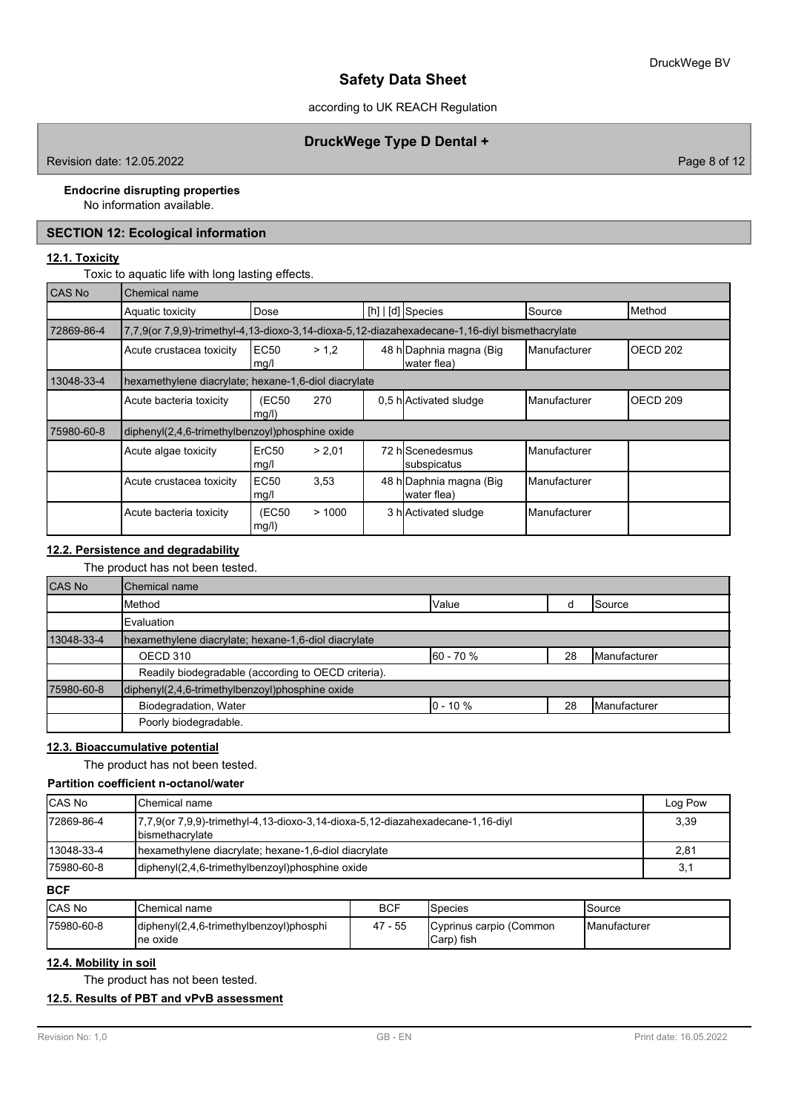## according to UK REACH Regulation

## **DruckWege Type D Dental +**

Revision date: 12.05.2022 **Page 8 of 12** 

#### **Endocrine disrupting properties**

No information available.

## **SECTION 12: Ecological information**

### **12.1. Toxicity**

Toxic to aquatic life with long lasting effects.

| CAS No     | <b>Chemical name</b>                                 |                                                                                                |        |  |                                        |                     |                     |  |
|------------|------------------------------------------------------|------------------------------------------------------------------------------------------------|--------|--|----------------------------------------|---------------------|---------------------|--|
|            | Aquatic toxicity                                     | Dose                                                                                           |        |  | $[h]   [d]$ Species                    | Source              | Method              |  |
| 72869-86-4 |                                                      | 7,7,9(or 7,9,9)-trimethyl-4,13-dioxo-3,14-dioxa-5,12-diazahexadecane-1,16-diyl bismethacrylate |        |  |                                        |                     |                     |  |
|            | Acute crustacea toxicity                             | <b>EC50</b><br>mg/l                                                                            | > 1.2  |  | 48 h Daphnia magna (Big<br>water flea) | <b>Manufacturer</b> | OECD <sub>202</sub> |  |
| 13048-33-4 | hexamethylene diacrylate; hexane-1,6-diol diacrylate |                                                                                                |        |  |                                        |                     |                     |  |
|            | Acute bacteria toxicity                              | (EC50<br>mg/l)                                                                                 | 270    |  | 0,5 h Activated sludge                 | Manufacturer        | OECD <sub>209</sub> |  |
| 75980-60-8 | diphenyl(2,4,6-trimethylbenzoyl)phosphine oxide      |                                                                                                |        |  |                                        |                     |                     |  |
|            | Acute algae toxicity                                 | ErC <sub>50</sub><br>mg/l                                                                      | > 2.01 |  | 72 hlScenedesmus<br>subspicatus        | Manufacturer        |                     |  |
|            | Acute crustacea toxicity                             | <b>EC50</b><br>mg/l                                                                            | 3,53   |  | 48 h Daphnia magna (Big<br>water flea) | Manufacturer        |                     |  |
|            | Acute bacteria toxicity                              | (EC50<br>mg/l)                                                                                 | >1000  |  | 3 h Activated sludge                   | Manufacturer        |                     |  |

## **12.2. Persistence and degradability**

## The product has not been tested.

| <b>CAS No</b> | Chemical name                                        |              |    |                       |  |  |  |
|---------------|------------------------------------------------------|--------------|----|-----------------------|--|--|--|
|               | Method                                               | Value        |    | <b>Source</b>         |  |  |  |
|               | Evaluation                                           |              |    |                       |  |  |  |
| 13048-33-4    | hexamethylene diacrylate; hexane-1,6-diol diacrylate |              |    |                       |  |  |  |
|               | OECD 310                                             | 60 - 70 %    | 28 | <b>I</b> Manufacturer |  |  |  |
|               | Readily biodegradable (according to OECD criteria).  |              |    |                       |  |  |  |
| 75980-60-8    | diphenyl(2,4,6-trimethylbenzoyl)phosphine oxide      |              |    |                       |  |  |  |
|               | Biodegradation, Water                                | $10 - 10 \%$ | 28 | <b>I</b> Manufacturer |  |  |  |
|               | Poorly biodegradable.                                |              |    |                       |  |  |  |

## **12.3. Bioaccumulative potential**

The product has not been tested.

| Partition coefficient n-octanol/water |                                                                                                            |         |  |  |  |
|---------------------------------------|------------------------------------------------------------------------------------------------------------|---------|--|--|--|
| <b>ICAS No</b>                        | lChemical name                                                                                             | Log Pow |  |  |  |
| 172869-86-4                           | 7,7,9(or 7,9,9)-trimethyl-4,13-dioxo-3,14-dioxa-5,12-diazahexadecane-1,16-diyl<br><b>I</b> bismethacrylate |         |  |  |  |
| 13048-33-4                            | hexamethylene diacrylate; hexane-1,6-diol diacrylate                                                       | 2,81    |  |  |  |
| 175980-60-8                           | diphenyl(2,4,6-trimethylbenzoyl)phosphine oxide                                                            |         |  |  |  |

**BCF**

| <b>CAS No</b> | <b>'</b> Chemical name                               | BCF        | <b>Species</b>                        | ISource              |
|---------------|------------------------------------------------------|------------|---------------------------------------|----------------------|
| 75980-60-8    | diphenyl(2,4,6-trimethylbenzoyl)phosphi<br>Ine oxide | 47<br>- 55 | Cyprinus carpio (Common<br>Carp) fish | <b>IManufacturer</b> |

#### **12.4. Mobility in soil**

The product has not been tested.

## **12.5. Results of PBT and vPvB assessment**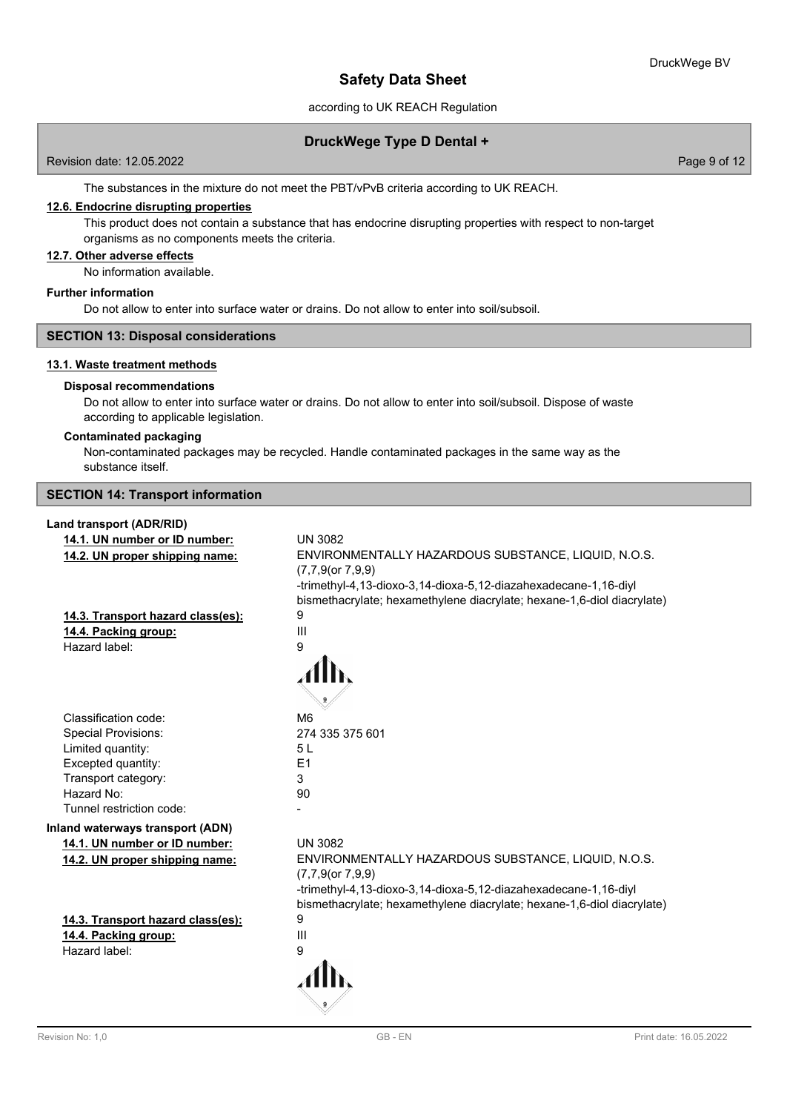### according to UK REACH Regulation

### **DruckWege Type D Dental +**

Revision date: 12.05.2022 Page 9 of 12

The substances in the mixture do not meet the PBT/vPvB criteria according to UK REACH.

## **12.6. Endocrine disrupting properties**

This product does not contain a substance that has endocrine disrupting properties with respect to non-target organisms as no components meets the criteria.

### **12.7. Other adverse effects**

No information available.

#### **Further information**

Do not allow to enter into surface water or drains. Do not allow to enter into soil/subsoil.

### **SECTION 13: Disposal considerations**

### **13.1. Waste treatment methods**

#### **Disposal recommendations**

Do not allow to enter into surface water or drains. Do not allow to enter into soil/subsoil. Dispose of waste according to applicable legislation.

### **Contaminated packaging**

Non-contaminated packages may be recycled. Handle contaminated packages in the same way as the substance itself.

**SECTION 14: Transport information**

# **Land transport (ADR/RID)**

| Land transport (ADR/RID)          |                                                                        |
|-----------------------------------|------------------------------------------------------------------------|
| 14.1. UN number or ID number:     | <b>UN 3082</b>                                                         |
| 14.2. UN proper shipping name:    | ENVIRONMENTALLY HAZARDOUS SUBSTANCE, LIQUID, N.O.S.                    |
|                                   | $(7,7,9$ (or $7,9,9$ )                                                 |
|                                   | -trimethyl-4,13-dioxo-3,14-dioxa-5,12-diazahexadecane-1,16-diyl        |
|                                   | bismethacrylate; hexamethylene diacrylate; hexane-1,6-diol diacrylate) |
| 14.3. Transport hazard class(es): | 9                                                                      |
| 14.4. Packing group:              | Ш                                                                      |
| Hazard label:                     | 9                                                                      |
|                                   |                                                                        |
|                                   |                                                                        |
|                                   |                                                                        |
| Classification code:              | M <sub>6</sub>                                                         |
| <b>Special Provisions:</b>        | 274 335 375 601                                                        |
| Limited quantity:                 | 5L                                                                     |
| Excepted quantity:                | E1                                                                     |
| Transport category:               | 3                                                                      |
| Hazard No:                        | 90                                                                     |
| Tunnel restriction code:          |                                                                        |
| Inland waterways transport (ADN)  |                                                                        |
| 14.1. UN number or ID number:     | <b>UN 3082</b>                                                         |
| 14.2. UN proper shipping name:    | ENVIRONMENTALLY HAZARDOUS SUBSTANCE, LIQUID, N.O.S.                    |
|                                   | $(7,7,9$ (or $7,9,9$ )                                                 |
|                                   | -trimethyl-4,13-dioxo-3,14-dioxa-5,12-diazahexadecane-1,16-diyl        |
|                                   | bismethacrylate; hexamethylene diacrylate; hexane-1,6-diol diacrylate) |
| 14.3. Transport hazard class(es): | 9                                                                      |
| 14.4. Packing group:              | $\mathbf{III}$                                                         |
| Hazard label:                     | 9                                                                      |
|                                   |                                                                        |
|                                   |                                                                        |
|                                   |                                                                        |
|                                   |                                                                        |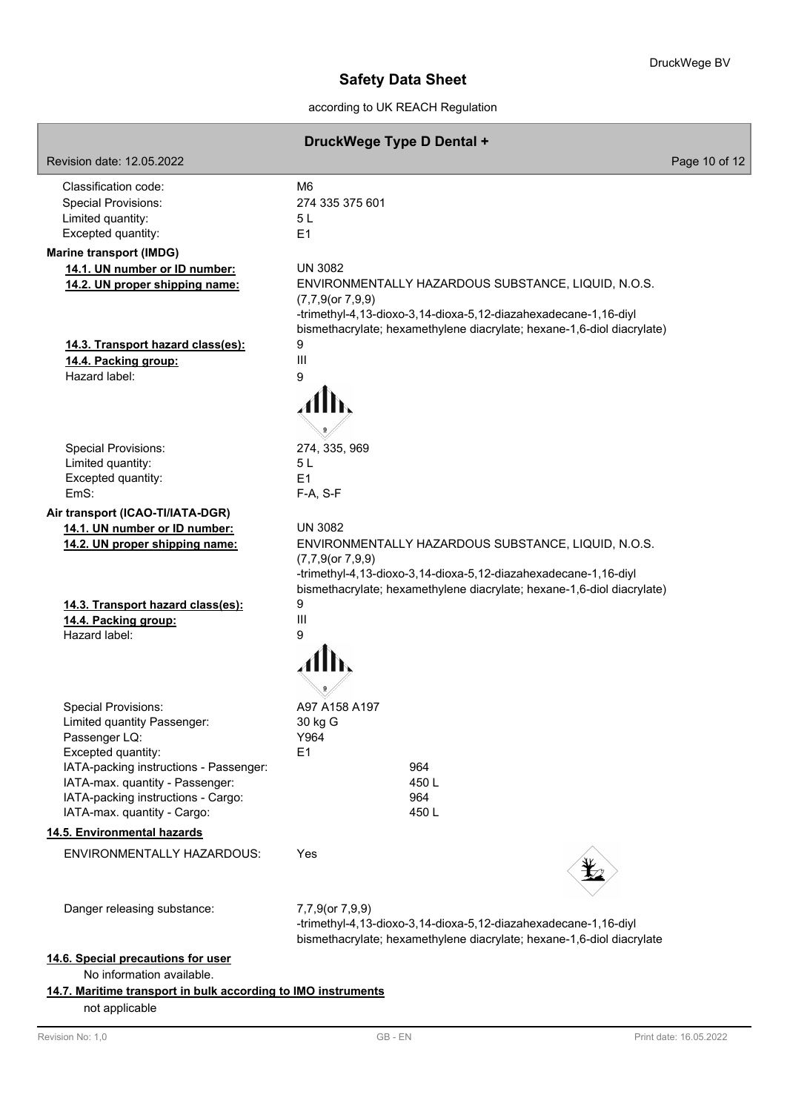according to UK REACH Regulation

### **DruckWege Type D Dental +**

Revision date: 12.05.2022 Page 10 of 12 Classification code: M6 Special Provisions: 274 335 375 601 Limited quantity: 5 L Excepted quantity: E1 **14.1. UN number or ID number:** UN 3082 **14.2. UN proper shipping name:** ENVIRONMENTALLY HAZARDOUS SUBSTANCE, LIQUID, N.O.S. (7,7,9(or 7,9,9) -trimethyl-4,13-dioxo-3,14-dioxa-5,12-diazahexadecane-1,16-diyl bismethacrylate; hexamethylene diacrylate; hexane-1,6-diol diacrylate) **14.3. Transport hazard class(es):** 9 **14.4. Packing group:** III Hazard label: 9 Special Provisions: 274, 335, 969 Limited quantity: 5 L Excepted quantity: E1 EmS: F-A, S-F **Air transport (ICAO-TI/IATA-DGR) 14.1. UN number or ID number:** UN 3082 **14.2. UN proper shipping name:** ENVIRONMENTALLY HAZARDOUS SUBSTANCE, LIQUID, N.O.S. (7,7,9(or 7,9,9) -trimethyl-4,13-dioxo-3,14-dioxa-5,12-diazahexadecane-1,16-diyl bismethacrylate; hexamethylene diacrylate; hexane-1,6-diol diacrylate) **14.3. Transport hazard class(es):** 9 **14.4. Packing group:** III Hazard label: 9 Special Provisions: A97 A158 A197 Limited quantity Passenger: 30 kg G Passenger LQ: Y964 Excepted quantity: E1 IATA-packing instructions - Passenger: 964 IATA-max. quantity - Passenger: 450 L IATA-packing instructions - Cargo: 964 IATA-max. quantity - Cargo: 450 L

#### **14.5. Environmental hazards**

**Marine transport (IMDG)**

| <b>ENVIRONMENTALLY HAZARDOUS:</b> | Yes |
|-----------------------------------|-----|
|                                   |     |

Danger releasing substance:

7,7,9(or 7,9,9) -trimethyl-4,13-dioxo-3,14-dioxa-5,12-diazahexadecane-1,16-diyl bismethacrylate; hexamethylene diacrylate; hexane-1,6-diol diacrylate

### **14.6. Special precautions for user**

No information available.

## **14.7. Maritime transport in bulk according to IMO instruments**

not applicable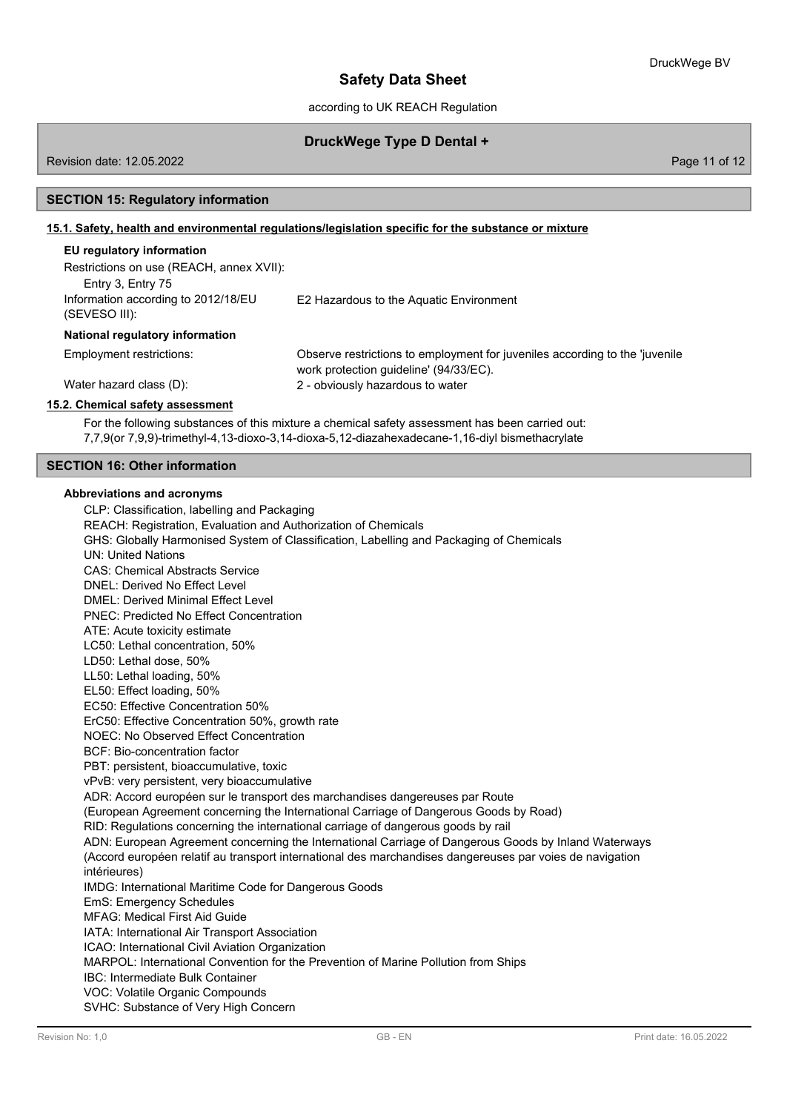'juvenile

## **Safety Data Sheet**

according to UK REACH Regulation

### **DruckWege Type D Dental +**

Revision date: 12.05.2022 Page 11 of 12

#### **SECTION 15: Regulatory information**

#### **15.1. Safety, health and environmental regulations/legislation specific for the substance or mixture**

### **EU regulatory information**

| Restrictions on use (REACH, annex XVII):                                  |                                                                                                             |
|---------------------------------------------------------------------------|-------------------------------------------------------------------------------------------------------------|
| Entry 3, Entry 75<br>Information according to 2012/18/EU<br>(SEVESO III): | E2 Hazardous to the Aquatic Environment                                                                     |
| National regulatory information                                           |                                                                                                             |
| Employment restrictions:                                                  | Observe restrictions to employment for juveniles according to the<br>work protection guideline' (94/33/EC). |
| Water hazard class (D):                                                   | 2 - obviously hazardous to water                                                                            |
| 15.2. Chemical safety assessment                                          |                                                                                                             |

For the following substances of this mixture a chemical safety assessment has been carried out: 7,7,9(or 7,9,9)-trimethyl-4,13-dioxo-3,14-dioxa-5,12-diazahexadecane-1,16-diyl bismethacrylate

#### **SECTION 16: Other information**

#### **Abbreviations and acronyms**

CLP: Classification, labelling and Packaging REACH: Registration, Evaluation and Authorization of Chemicals GHS: Globally Harmonised System of Classification, Labelling and Packaging of Chemicals UN: United Nations CAS: Chemical Abstracts Service DNEL: Derived No Effect Level DMEL: Derived Minimal Effect Level PNEC: Predicted No Effect Concentration ATE: Acute toxicity estimate LC50: Lethal concentration, 50% LD50: Lethal dose, 50% LL50: Lethal loading, 50% EL50: Effect loading, 50% EC50: Effective Concentration 50% ErC50: Effective Concentration 50%, growth rate NOEC: No Observed Effect Concentration BCF: Bio-concentration factor PBT: persistent, bioaccumulative, toxic vPvB: very persistent, very bioaccumulative ADR: Accord européen sur le transport des marchandises dangereuses par Route (European Agreement concerning the International Carriage of Dangerous Goods by Road) RID: Regulations concerning the international carriage of dangerous goods by rail ADN: European Agreement concerning the International Carriage of Dangerous Goods by Inland Waterways (Accord européen relatif au transport international des marchandises dangereuses par voies de navigation intérieures) IMDG: International Maritime Code for Dangerous Goods EmS: Emergency Schedules MFAG: Medical First Aid Guide IATA: International Air Transport Association ICAO: International Civil Aviation Organization MARPOL: International Convention for the Prevention of Marine Pollution from Ships IBC: Intermediate Bulk Container VOC: Volatile Organic Compounds SVHC: Substance of Very High Concern